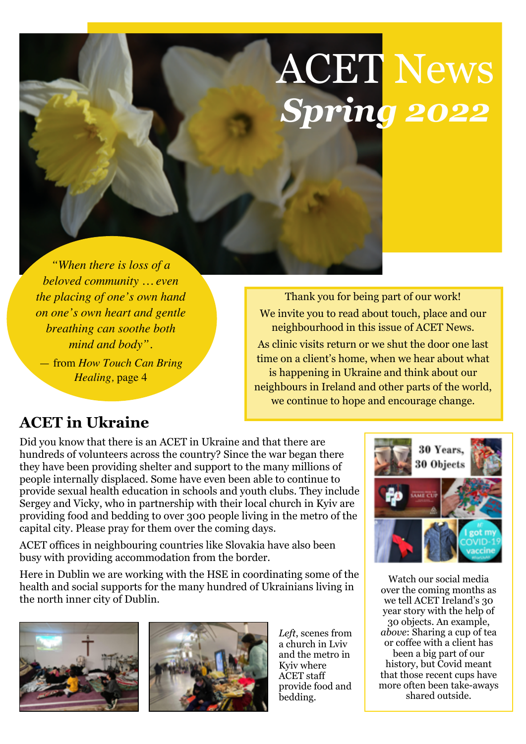# ACET News *Spring 2022*

*"When there is loss of a beloved community … even the placing of one's own hand on one's own heart and gentle breathing can soothe both mind and body".* 

— from *How Touch Can Bring Healing,* page 4

Thank you for being part of our work! We invite you to read about touch, place and our neighbourhood in this issue of ACET News. As clinic visits return or we shut the door one last time on a client's home, when we hear about what is happening in Ukraine and think about our neighbours in Ireland and other parts of the world, we continue to hope and encourage change.

## **ACET in Ukraine**

Did you know that there is an ACET in Ukraine and that there are hundreds of volunteers across the country? Since the war began there they have been providing shelter and support to the many millions of people internally displaced. Some have even been able to continue to provide sexual health education in schools and youth clubs. They include Sergey and Vicky, who in partnership with their local church in Kyiv are providing food and bedding to over 300 people living in the metro of the capital city. Please pray for them over the coming days.

ACET offices in neighbouring countries like Slovakia have also been busy with providing accommodation from the border.

Here in Dublin we are working with the HSE in coordinating some of the health and social supports for the many hundred of Ukrainians living in the north inner city of Dublin.





*Left*, scenes from a church in Lviv and the metro in Kyiv where ACET staff provide food and bedding.



Watch our social media over the coming months as we tell ACET Ireland's 30 year story with the help of 30 objects. An example, *above*: Sharing a cup of tea or coffee with a client has been a big part of our history, but Covid meant that those recent cups have more often been take-aways shared outside.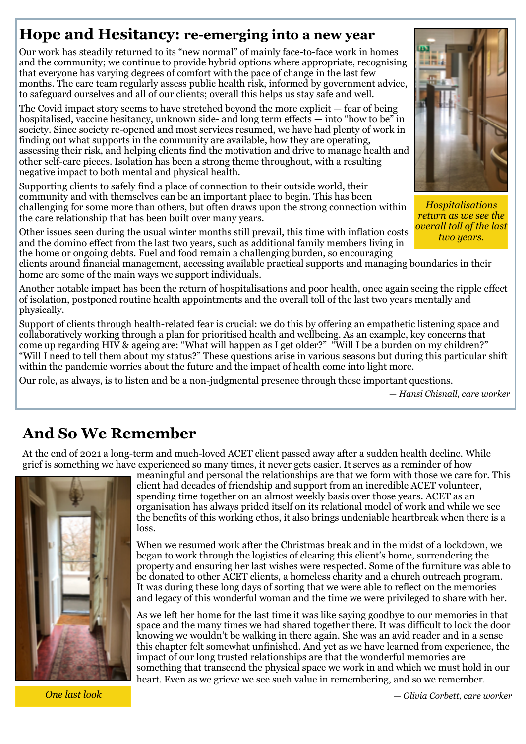## **Hope and Hesitancy: re-emerging into a new year**

Our work has steadily returned to its "new normal" of mainly face-to-face work in homes and the community; we continue to provide hybrid options where appropriate, recognising that everyone has varying degrees of comfort with the pace of change in the last few months. The care team regularly assess public health risk, informed by government advice, to safeguard ourselves and all of our clients; overall this helps us stay safe and well.

The Covid impact story seems to have stretched beyond the more explicit — fear of being hospitalised, vaccine hesitancy, unknown side- and long term effects — into "how to be" in society. Since society re-opened and most services resumed, we have had plenty of work in finding out what supports in the community are available, how they are operating, assessing their risk, and helping clients find the motivation and drive to manage health and other self-care pieces. Isolation has been a strong theme throughout, with a resulting negative impact to both mental and physical health.

Supporting clients to safely find a place of connection to their outside world, their community and with themselves can be an important place to begin. This has been challenging for some more than others, but often draws upon the strong connection within the care relationship that has been built over many years.

Other issues seen during the usual winter months still prevail, this time with inflation costs and the domino effect from the last two years, such as additional family members living in the home or ongoing debts. Fuel and food remain a challenging burden, so encouraging

clients around financial management, accessing available practical supports and managing boundaries in their home are some of the main ways we support individuals.

Another notable impact has been the return of hospitalisations and poor health, once again seeing the ripple effect of isolation, postponed routine health appointments and the overall toll of the last two years mentally and physically.

Support of clients through health-related fear is crucial: we do this by offering an empathetic listening space and collaboratively working through a plan for prioritised health and wellbeing. As an example, key concerns that come up regarding HIV & ageing are: "What will happen as I get older?" "Will I be a burden on my children?" "Will I need to tell them about my status?" These questions arise in various seasons but during this particular shift within the pandemic worries about the future and the impact of health come into light more.

Our role, as always, is to listen and be a non-judgmental presence through these important questions.

*— Hansi Chisnall, care worker*

## **And So We Remember**

At the end of 2021 a long-term and much-loved ACET client passed away after a sudden health decline. While grief is something we have experienced so many times, it never gets easier. It serves as a reminder of how



meaningful and personal the relationships are that we form with those we care for. This client had decades of friendship and support from an incredible ACET volunteer, spending time together on an almost weekly basis over those years. ACET as an organisation has always prided itself on its relational model of work and while we see the benefits of this working ethos, it also brings undeniable heartbreak when there is a loss.

When we resumed work after the Christmas break and in the midst of a lockdown, we began to work through the logistics of clearing this client's home, surrendering the property and ensuring her last wishes were respected. Some of the furniture was able to be donated to other ACET clients, a homeless charity and a church outreach program. It was during these long days of sorting that we were able to reflect on the memories and legacy of this wonderful woman and the time we were privileged to share with her.

As we left her home for the last time it was like saying goodbye to our memories in that space and the many times we had shared together there. It was difficult to lock the door knowing we wouldn't be walking in there again. She was an avid reader and in a sense this chapter felt somewhat unfinished. And yet as we have learned from experience, the impact of our long trusted relationships are that the wonderful memories are something that transcend the physical space we work in and which we must hold in our heart. Even as we grieve we see such value in remembering, and so we remember.

*One last look*

*Hospitalisations return as we see the overall toll of the last two years.* 

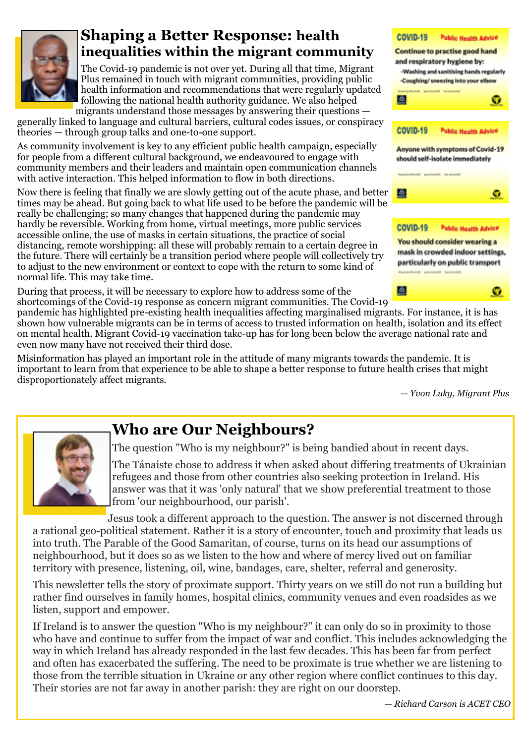

#### **Shaping a Better Response: health inequalities within the migrant community**

The Covid-19 pandemic is not over yet. During all that time, Migrant Plus remained in touch with migrant communities, providing public health information and recommendations that were regularly updated following the national health authority guidance. We also helped migrants understand those messages by answering their questions —

generally linked to language and cultural barriers, cultural codes issues, or conspiracy theories — through group talks and one-to-one support.

As community involvement is key to any efficient public health campaign, especially for people from a different cultural background, we endeavoured to engage with community members and their leaders and maintain open communication channels with active interaction. This helped information to flow in both directions.

Now there is feeling that finally we are slowly getting out of the acute phase, and better times may be ahead. But going back to what life used to be before the pandemic will be really be challenging; so many changes that happened during the pandemic may hardly be reversible. Working from home, virtual meetings, more public services accessible online, the use of masks in certain situations, the practice of social distancing, remote worshipping: all these will probably remain to a certain degree in the future. There will certainly be a transition period where people will collectively try to adjust to the new environment or context to cope with the return to some kind of normal life. This may take time.

During that process, it will be necessary to explore how to address some of the shortcomings of the Covid-19 response as concern migrant communities. The Covid-19



pandemic has highlighted pre-existing health inequalities affecting marginalised migrants. For instance, it is has shown how vulnerable migrants can be in terms of access to trusted information on health, isolation and its effect on mental health. Migrant Covid-19 vaccination take-up has for long been below the average national rate and even now many have not received their third dose.

Misinformation has played an important role in the attitude of many migrants towards the pandemic. It is important to learn from that experience to be able to shape a better response to future health crises that might disproportionately affect migrants.

*— Yvon Luky, Migrant Plus*



### **Who are Our Neighbours?**

The question "Who is my neighbour?" is being bandied about in recent days.

The Tánaiste chose to address it when asked about differing treatments of Ukrainian refugees and those from other countries also seeking protection in Ireland. His answer was that it was 'only natural' that we show preferential treatment to those from 'our neighbourhood, our parish'.

Jesus took a different approach to the question. The answer is not discerned through a rational geo-political statement. Rather it is a story of encounter, touch and proximity that leads us into truth. The Parable of the Good Samaritan, of course, turns on its head our assumptions of neighbourhood, but it does so as we listen to the how and where of mercy lived out on familiar territory with presence, listening, oil, wine, bandages, care, shelter, referral and generosity.

This newsletter tells the story of proximate support. Thirty years on we still do not run a building but rather find ourselves in family homes, hospital clinics, community venues and even roadsides as we listen, support and empower.

If Ireland is to answer the question "Who is my neighbour?" it can only do so in proximity to those who have and continue to suffer from the impact of war and conflict. This includes acknowledging the way in which Ireland has already responded in the last few decades. This has been far from perfect and often has exacerbated the suffering. The need to be proximate is true whether we are listening to those from the terrible situation in Ukraine or any other region where conflict continues to this day. Their stories are not far away in another parish: they are right on our doorstep.